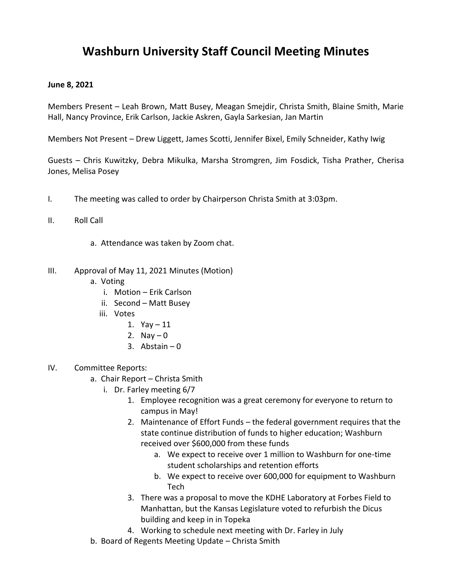## **Washburn University Staff Council Meeting Minutes**

## **June 8, 2021**

Members Present – Leah Brown, Matt Busey, Meagan Smejdir, Christa Smith, Blaine Smith, Marie Hall, Nancy Province, Erik Carlson, Jackie Askren, Gayla Sarkesian, Jan Martin

Members Not Present – Drew Liggett, James Scotti, Jennifer Bixel, Emily Schneider, Kathy Iwig

Guests – Chris Kuwitzky, Debra Mikulka, Marsha Stromgren, Jim Fosdick, Tisha Prather, Cherisa Jones, Melisa Posey

- I. The meeting was called to order by Chairperson Christa Smith at 3:03pm.
- II. Roll Call
	- a. Attendance was taken by Zoom chat.
- III. Approval of May 11, 2021 Minutes (Motion)
	- a. Voting
		- i. Motion Erik Carlson
		- ii. Second Matt Busey
		- iii. Votes
			- 1. Yay 11
			- 2. Nay  $-0$
			- 3. Abstain  $-0$
- IV. Committee Reports:
	- a. Chair Report Christa Smith
		- i. Dr. Farley meeting 6/7
			- 1. Employee recognition was a great ceremony for everyone to return to campus in May!
			- 2. Maintenance of Effort Funds the federal government requires that the state continue distribution of funds to higher education; Washburn received over \$600,000 from these funds
				- a. We expect to receive over 1 million to Washburn for one-time student scholarships and retention efforts
				- b. We expect to receive over 600,000 for equipment to Washburn Tech
			- 3. There was a proposal to move the KDHE Laboratory at Forbes Field to Manhattan, but the Kansas Legislature voted to refurbish the Dicus building and keep in in Topeka
			- 4. Working to schedule next meeting with Dr. Farley in July
	- b. Board of Regents Meeting Update Christa Smith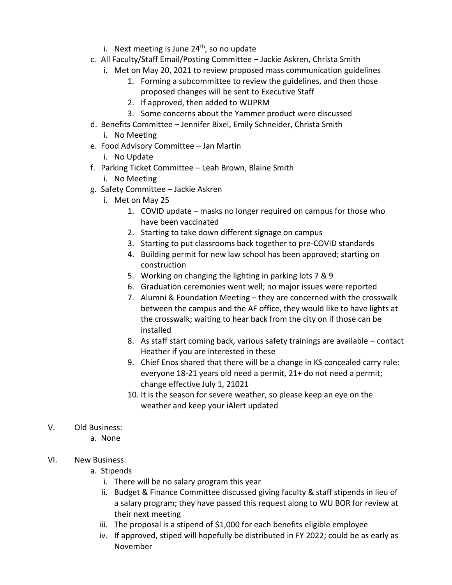- i. Next meeting is June  $24<sup>th</sup>$ , so no update
- c. All Faculty/Staff Email/Posting Committee Jackie Askren, Christa Smith
	- i. Met on May 20, 2021 to review proposed mass communication guidelines
		- 1. Forming a subcommittee to review the guidelines, and then those proposed changes will be sent to Executive Staff
		- 2. If approved, then added to WUPRM
		- 3. Some concerns about the Yammer product were discussed
- d. Benefits Committee Jennifer Bixel, Emily Schneider, Christa Smith
	- i. No Meeting
- e. Food Advisory Committee Jan Martin
	- i. No Update
- f. Parking Ticket Committee Leah Brown, Blaine Smith
	- i. No Meeting
- g. Safety Committee Jackie Askren
	- i. Met on May 25
		- 1. COVID update masks no longer required on campus for those who have been vaccinated
		- 2. Starting to take down different signage on campus
		- 3. Starting to put classrooms back together to pre-COVID standards
		- 4. Building permit for new law school has been approved; starting on construction
		- 5. Working on changing the lighting in parking lots 7 & 9
		- 6. Graduation ceremonies went well; no major issues were reported
		- 7. Alumni & Foundation Meeting they are concerned with the crosswalk between the campus and the AF office, they would like to have lights at the crosswalk; waiting to hear back from the city on if those can be installed
		- 8. As staff start coming back, various safety trainings are available contact Heather if you are interested in these
		- 9. Chief Enos shared that there will be a change in KS concealed carry rule: everyone 18-21 years old need a permit, 21+ do not need a permit; change effective July 1, 21021
		- 10. It is the season for severe weather, so please keep an eye on the weather and keep your iAlert updated
- V. Old Business:
	- a. None
- VI. New Business:
	- a. Stipends
		- i. There will be no salary program this year
		- ii. Budget & Finance Committee discussed giving faculty & staff stipends in lieu of a salary program; they have passed this request along to WU BOR for review at their next meeting
		- iii. The proposal is a stipend of \$1,000 for each benefits eligible employee
		- iv. If approved, stiped will hopefully be distributed in FY 2022; could be as early as November